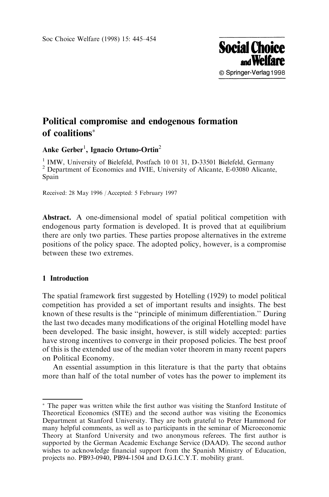

# Political compromise and endogenous formation of coalitions

# Anke Gerber<sup>1</sup>, Ignacio Ortuno-Ortin<sup>2</sup>

<sup>1</sup> IMW, University of Bielefeld, Postfach 10 01 31, D-33501 Bielefeld, Germany  $^2$  Department of Economics and IVIE, University of Alicante, E-03080 Alicante, Spain

Received: 28 May 1996 / Accepted: 5 February 1997

Abstract. A one-dimensional model of spatial political competition with endogenous party formation is developed. It is proved that at equilibrium there are only two parties. These parties propose alternatives in the extreme positions of the policy space. The adopted policy, however, is a compromise between these two extremes.

# 1 Introduction

The spatial framework first suggested by Hotelling (1929) to model political competition has provided a set of important results and insights. The best known of these results is the "principle of minimum differentiation." During the last two decades many modifications of the original Hotelling model have been developed. The basic insight, however, is still widely accepted: parties have strong incentives to converge in their proposed policies. The best proof of this is the extended use of the median voter theorem in many recent papers on Political Economy.

An essential assumption in this literature is that the party that obtains more than half of the total number of votes has the power to implement its

<sup>\*</sup> The paper was written while the first author was visiting the Stanford Institute of Theoretical Economics (SITE) and the second author was visiting the Economics Department at Stanford University. They are both grateful to Peter Hammond for many helpful comments, as well as to participants in the seminar of Microeconomic Theory at Stanford University and two anonymous referees. The first author is supported by the German Academic Exchange Service (DAAD). The second author wishes to acknowledge financial support from the Spanish Ministry of Education, projects no. PB93-0940, PB94-1504 and D.G.I.C.Y.T. mobility grant.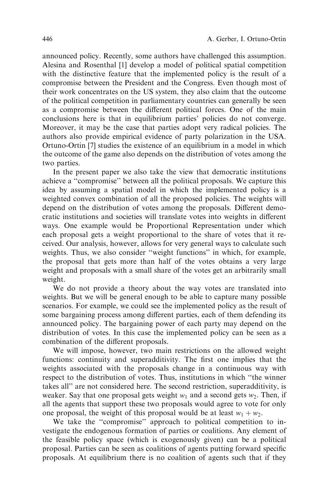announced policy. Recently, some authors have challenged this assumption. Alesina and Rosenthal [1] develop a model of political spatial competition with the distinctive feature that the implemented policy is the result of a compromise between the President and the Congress. Even though most of their work concentrates on the US system, they also claim that the outcome of the political competition in parliamentary countries can generally be seen as a compromise between the different political forces. One of the main conclusions here is that in equilibrium parties' policies do not converge. Moreover, it may be the case that parties adopt very radical policies. The authors also provide empirical evidence of party polarization in the USA. Ortuno-Ortin [7] studies the existence of an equilibrium in a model in which the outcome of the game also depends on the distribution of votes among the two parties.

In the present paper we also take the view that democratic institutions achieve a "compromise" between all the political proposals. We capture this idea by assuming a spatial model in which the implemented policy is a weighted convex combination of all the proposed policies. The weights will depend on the distribution of votes among the proposals. Different democratic institutions and societies will translate votes into weights in different ways. One example would be Proportional Representation under which each proposal gets a weight proportional to the share of votes that it received. Our analysis, however, allows for very general ways to calculate such weights. Thus, we also consider "weight functions" in which, for example, the proposal that gets more than half of the votes obtains a very large weight and proposals with a small share of the votes get an arbitrarily small weight.

We do not provide a theory about the way votes are translated into weights. But we will be general enough to be able to capture many possible scenarios. For example, we could see the implemented policy as the result of some bargaining process among different parties, each of them defending its announced policy. The bargaining power of each party may depend on the distribution of votes. In this case the implemented policy can be seen as a combination of the different proposals.

We will impose, however, two main restrictions on the allowed weight functions: continuity and superadditivity. The first one implies that the weights associated with the proposals change in a continuous way with respect to the distribution of votes. Thus, institutions in which "the winner takes all'' are not considered here. The second restriction, superadditivity, is weaker. Say that one proposal gets weight  $w_1$  and a second gets  $w_2$ . Then, if all the agents that support these two proposals would agree to vote for only one proposal, the weight of this proposal would be at least  $w_1 + w_2$ .

We take the "compromise" approach to political competition to investigate the endogenous formation of parties or coalitions. Any element of the feasible policy space (which is exogenously given) can be a political proposal. Parties can be seen as coalitions of agents putting forward specific proposals. At equilibrium there is no coalition of agents such that if they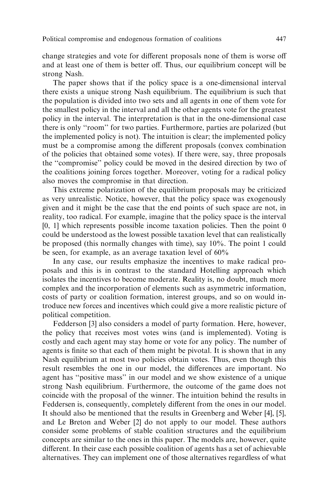change strategies and vote for different proposals none of them is worse off and at least one of them is better off. Thus, our equilibrium concept will be strong Nash.

The paper shows that if the policy space is a one-dimensional interval there exists a unique strong Nash equilibrium. The equilibrium is such that the population is divided into two sets and all agents in one of them vote for the smallest policy in the interval and all the other agents vote for the greatest policy in the interval. The interpretation is that in the one-dimensional case there is only "room" for two parties. Furthermore, parties are polarized (but the implemented policy is not). The intuition is clear; the implemented policy must be a compromise among the different proposals (convex combination of the policies that obtained some votes). If there were, say, three proposals the "compromise" policy could be moved in the desired direction by two of the coalitions joining forces together. Moreover, voting for a radical policy also moves the compromise in that direction.

This extreme polarization of the equilibrium proposals may be criticized as very unrealistic. Notice, however, that the policy space was exogenously given and it might be the case that the end points of such space are not, in reality, too radical. For example, imagine that the policy space is the interval  $[0, 1]$  which represents possible income taxation policies. Then the point  $0$ could be understood as the lowest possible taxation level that can realistically be proposed (this normally changes with time), say 10%. The point 1 could be seen, for example, as an average taxation level of 60%

In any case, our results emphasize the incentives to make radical proposals and this is in contrast to the standard Hotelling approach which isolates the incentives to become moderate. Reality is, no doubt, much more complex and the incorporation of elements such as asymmetric information, costs of party or coalition formation, interest groups, and so on would introduce new forces and incentives which could give a more realistic picture of political competition.

Fedderson [3] also considers a model of party formation. Here, however, the policy that receives most votes wins (and is implemented). Voting is costly and each agent may stay home or vote for any policy. The number of agents is finite so that each of them might be pivotal. It is shown that in any Nash equilibrium at most two policies obtain votes. Thus, even though this result resembles the one in our model, the differences are important. No agent has "positive mass" in our model and we show existence of a unique strong Nash equilibrium. Furthermore, the outcome of the game does not coincide with the proposal of the winner. The intuition behind the results in Feddersen is, consequently, completely different from the ones in our model. It should also be mentioned that the results in Greenberg and Weber [4], [5], and Le Breton and Weber [2] do not apply to our model. These authors consider some problems of stable coalition structures and the equilibrium concepts are similar to the ones in this paper. The models are, however, quite different. In their case each possible coalition of agents has a set of achievable alternatives. They can implement one of those alternatives regardless of what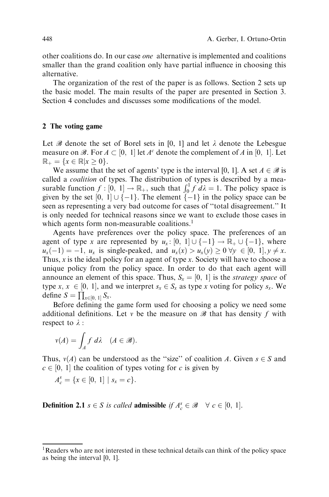other coalitions do. In our case one alternative is implemented and coalitions smaller than the grand coalition only have partial influence in choosing this alternative.

The organization of the rest of the paper is as follows. Section 2 sets up the basic model. The main results of the paper are presented in Section 3. Section 4 concludes and discusses some modifications of the model.

# 2 The voting game

Let B denote the set of Borel sets in [0, 1] and let  $\lambda$  denote the Lebesgue measure on B. For  $A \subset [0, 1]$  let  $A^c$  denote the complement of A in [0, 1]. Let  $\mathbb{R}_{+} = \{x \in \mathbb{R} | x \geq 0\}.$ 

We assume that the set of agents' type is the interval [0, 1]. A set  $A \in \mathcal{B}$  is called a coalition of types. The distribution of types is described by a measurable function  $f : [0, 1] \to \mathbb{R}_+$ , such that  $\int_0^1 f \, d\lambda = 1$ . The policy space is given by the set  $[0, 1] \cup \{-1\}$ . The element  $\{-1\}$  in the policy space can be seen as representing a very bad outcome for cases of "total disagreement." It is only needed for technical reasons since we want to exclude those cases in which agents form non-measurable coalitions.<sup>1</sup>

Agents have preferences over the policy space. The preferences of an agent of type x are represented by  $u_x : [0, 1] \cup \{-1\} \rightarrow \mathbb{R}_+ \cup \{-1\}$ , where  $u_x(-1) = -1$ ,  $u_x$  is single-peaked, and  $u_x(x) > u_x(y) \ge 0$   $\forall y \in [0, 1], y \ne x$ . Thus,  $x$  is the ideal policy for an agent of type  $x$ . Society will have to choose a unique policy from the policy space. In order to do that each agent will announce an element of this space. Thus,  $S_x = [0, 1]$  is the *strategy space* of type x,  $x \in [0, 1]$ , and we interpret  $s_x \in S_x$  as type x voting for policy  $s_x$ . We define  $S = \prod_{x \in [0, 1]} S_x$ .

Before defining the game form used for choosing a policy we need some additional definitions. Let v be the measure on  $\mathscr B$  that has density f with respect to  $\lambda$  :

$$
v(A) = \int_A f \, d\lambda \quad (A \in \mathcal{B}).
$$

Thus,  $v(A)$  can be understood as the "size" of coalition A. Given  $s \in S$  and  $c \in [0, 1]$  the coalition of types voting for c is given by

 $A_c^s = \{x \in [0, 1] \mid s_x = c\}.$ 

**Definition 2.1**  $s \in S$  is called **admissible** if  $A_c^s \in \mathcal{B} \quad \forall c \in [0, 1].$ 

 $1$ Readers who are not interested in these technical details can think of the policy space as being the interval [0, 1].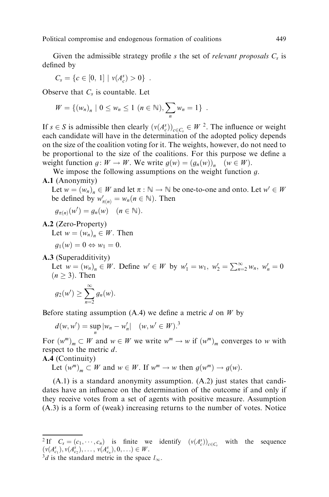Given the admissible strategy profile s the set of *relevant proposals*  $C_s$  is defined by

$$
C_s = \{c \in [0, 1] \mid v(A_c^s) > 0\} .
$$

Observe that  $C_s$  is countable. Let

$$
W = \{ (w_n)_n \mid 0 \le w_n \le 1 \ (n \in \mathbb{N}), \sum_n w_n = 1 \} .
$$

If  $s \in S$  is admissible then clearly  $(v(A_c^s))_{c \in C_s} \in W^2$ . The influence or weight each candidate will have in the determination of the adopted policy depends on the size of the coalition voting for it. The weights, however, do not need to be proportional to the size of the coalitions. For this purpose we define a weight function  $g: W \to W$ . We write  $g(w) = (g_n(w))_n$   $(w \in W)$ .

We impose the following assumptions on the weight function  $g$ .

#### A.1 (Anonymity)

Let  $w = (w_n)_n \in W$  and let  $\pi : \mathbb{N} \to \mathbb{N}$  be one-to-one and onto. Let  $w' \in W$ be defined by  $w'_{\pi(n)} = w_n (n \in \mathbb{N})$ . Then

$$
g_{\pi(n)}(w') = g_n(w) \quad (n \in \mathbb{N}).
$$

A.2 (Zero-Property)

Let  $w = (w_n)_n \in W$ . Then

$$
g_1(w) = 0 \Leftrightarrow w_1 = 0.
$$

A.3 (Superadditivity)

Let  $w = (w_n)_n \in W$ . Define  $w' \in W$  by  $w'_1 = w_1, w'_2 = \sum_{n=2}^{\infty} w_n, w'_n = 0$  $(n \geq 3)$ . Then

$$
g_2(w') \geq \sum_{n=2}^{\infty} g_n(w).
$$

Before stating assumption (A.4) we define a metric  $d$  on  $W$  by

$$
d(w, w') = \sup_{n} |w_n - w'_n| \quad (w, w' \in W)^{3}
$$

For  $(w^m)_m \subset W$  and  $w \in W$  we write  $w^m \to w$  if  $(w^m)_m$  converges to w with respect to the metric d.

# A.4 (Continuity)

Let  $(w^m)_m \subset W$  and  $w \in W$ . If  $w^m \to w$  then  $g(w^m) \to g(w)$ .

(A.1) is a standard anonymity assumption. (A.2) just states that candidates have an influence on the determination of the outcome if and only if they receive votes from a set of agents with positive measure. Assumption (A.3) is a form of (weak) increasing returns to the number of votes. Notice

<sup>&</sup>lt;sup>2</sup> If  $C_s = (c_1, \dots, c_n)$  is finite we identify  $(v(A_c^s))_{c \in C_s}$  with the sequence  $(v(A_{c_1}^s), v(A_{c_2}^s), \ldots, v(A_{c_n}^s), 0, \ldots) \in W.$ 

 $3d$  is the standard metric in the space  $l_{\infty}$ .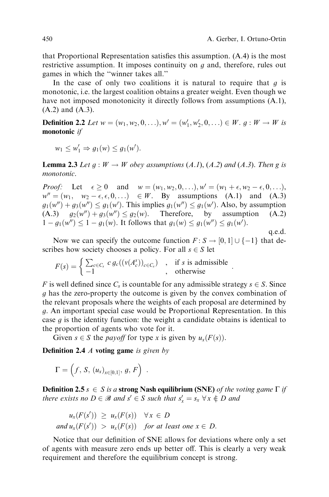:

that Proportional Representation satisfies this assumption.  $(A.4)$  is the most restrictive assumption. It imposes continuity on  $g$  and, therefore, rules out games in which the "winner takes all."

In the case of only two coalitions it is natural to require that  $q$  is monotonic, i.e. the largest coalition obtains a greater weight. Even though we have not imposed monotonicity it directly follows from assumptions (A.1), (A.2) and (A.3).

**Definition 2.2** Let  $w = (w_1, w_2, 0, \ldots), w' = (w'_1, w'_2, 0, \ldots) \in W$ .  $g : W \to W$  is monotonic *if* 

$$
w_1 \leq w_1' \Rightarrow g_1(w) \leq g_1(w').
$$

**Lemma 2.3** Let  $g: W \to W$  obey assumptions  $(A.1)$ ,  $(A.2)$  and  $(A.3)$ . Then g is monotonic.

*Proof:* Let  $\epsilon \ge 0$  and  $w = (w_1, w_2, 0, \ldots), w' = (w_1 + \epsilon, w_2 - \epsilon, 0, \ldots),$  $w'' = (w_1, w_2 - \epsilon, \epsilon, 0, \ldots) \in W$ . By assumptions (A.1) and (A.3)  $g_1(w'') + g_3(w'') \le g_1(w')$ . This implies  $g_1(w'') \le g_1(w')$ . Also, by assumption  $(A.3)$   $g_2(w'') + g_3(w'') \le g_2(w)$ . Therefore, by assumption (A.2)  $1 - g_1(w'') \leq 1 - g_1(w)$ . It follows that  $g_1(w) \leq g_1(w'') \leq g_1(w')$ . q.e.d.

Now we can specify the outcome function  $F : S \to [0, 1] \cup \{-1\}$  that describes how society chooses a policy. For all  $s \in S$  let

$$
F(s) = \begin{cases} \sum_{c \in C_s} c g_c((v(A_c^s))_{c \in C_s}) & , & \text{if } s \text{ is admissible} \\ -1 & , & \text{otherwise} \end{cases}
$$

F is well defined since  $C_s$  is countable for any admissible strategy  $s \in S$ . Since g has the zero-property the outcome is given by the convex combination of the relevant proposals where the weights of each proposal are determined by g. An important special case would be Proportional Representation. In this case  $q$  is the identity function: the weight a candidate obtains is identical to the proportion of agents who vote for it.

Given  $s \in S$  the *payoff* for type x is given by  $u_x(F(s))$ .

**Definition 2.4**  $\boldsymbol{A}$  voting game is given by

$$
\Gamma = \left(f, S, (u_x)_{x \in [0,1]}, g, F\right) .
$$

**Definition 2.5**  $s \in S$  is a strong Nash equilibrium (SNE) of the voting game  $\Gamma$  if there exists no  $D \in \mathcal{B}$  and  $s' \in S$  such that  $s'_x = s_x \ \forall x \notin D$  and

$$
u_x(F(s')) \ge u_x(F(s)) \quad \forall x \in D
$$
  
and  $u_x(F(s')) > u_x(F(s))$  for at least one  $x \in D$ .

Notice that our definition of SNE allows for deviations where only a set of agents with measure zero ends up better off. This is clearly a very weak requirement and therefore the equilibrium concept is strong.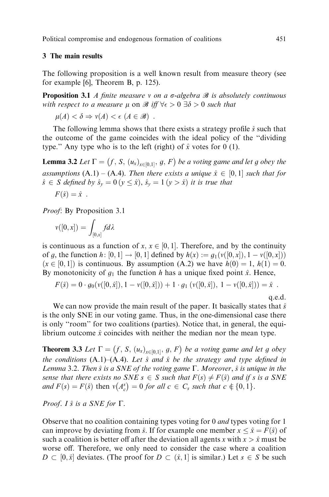Political compromise and endogenous formation of coalitions 451

# 3 The main results

The following proposition is a well known result from measure theory (see for example [6], Theorem B, p. 125).

**Proposition 3.1** A finite measure v on a  $\sigma$ -algebra  $\mathcal{B}$  is absolutely continuous with respect to a measure  $\mu$  on  $\mathscr{B}$  iff  $\forall \epsilon > 0$   $\exists \delta > 0$  such that

$$
\mu(A) < \delta \Rightarrow \nu(A) < \epsilon \ (A \in \mathcal{B}) \enspace .
$$

The following lemma shows that there exists a strategy profile  $\hat{s}$  such that the outcome of the game coincides with the ideal policy of the ``dividing type." Any type who is to the left (right) of  $\hat{x}$  votes for 0 (1).

**Lemma 3.2** Let  $\Gamma = (f, S, (u_x)_{x \in [0,1]}, g, F)$  be a voting game and let g obey the assumptions (A.1) – (A.4). Then there exists a unique  $\hat{x} \in [0, 1]$  such that for  $\hat{s} \in S$  defined by  $\hat{s}_y = 0$   $(y \leq \hat{x})$ ,  $\hat{s}_y = 1$   $(y > \hat{x})$  it is true that

$$
F(\hat{s}) = \hat{x} .
$$

Proof: By Proposition 3.1

$$
v([0,x])=\int_{[0,x]}fd\lambda
$$

is continuous as a function of  $x, x \in [0, 1]$ . Therefore, and by the continuity of g, the function h:  $[0, 1] \rightarrow [0, 1]$  defined by  $h(x) := g_1(v([0, x]), 1 - v([0, x]))$  $(x \in [0, 1])$  is continuous. By assumption (A.2) we have  $h(0) = 1, h(1) = 0$ . By monotonicity of  $g_1$  the function h has a unique fixed point  $\hat{x}$ . Hence,

$$
F(\hat{s}) = 0 \cdot g_0(\nu([0,\hat{x}]), 1 - \nu([0,\hat{x}])) + 1 \cdot g_1(\nu([0,\hat{x}]), 1 - \nu([0,\hat{x}])) = \hat{x} .
$$

q.e.d.

We can now provide the main result of the paper. It basically states that  $\hat{s}$ is the only SNE in our voting game. Thus, in the one-dimensional case there is only "room" for two coalitions (parties). Notice that, in general, the equilibrium outcome  $\hat{x}$  coincides with neither the median nor the mean type.

**Theorem 3.3** Let  $\Gamma = (f, S, (u_x)_{x \in [0,1]}, g, F)$  be a voting game and let g obey the conditions  $(A.1)$  $(A.4)$ . Let  $\hat{s}$  and  $\hat{x}$  be the strategy and type defined in Lemma 3.2. Then  $\hat{s}$  is a SNE of the voting game  $\Gamma$ . Moreover,  $\hat{s}$  is unique in the sense that there exists no SNE  $s \in S$  such that  $F (s) \neq F(\hat{s})$  and if s is a SNE and  $F(s) = F(\hat{s})$  then  $v(A_c^s) = 0$  for all  $c \in C_s$  such that  $c \notin \{0, 1\}.$ 

Proof. I  $\hat{s}$  is a SNE for  $\Gamma$ .

Observe that no coalition containing types voting for 0 and types voting for 1 can improve by deviating from  $\hat{s}$ . If for example one member  $x \leq \hat{x} = F(\hat{s})$  of such a coalition is better off after the deviation all agents x with  $x > \hat{x}$  must be worse off. Therefore, we only need to consider the case where a coalition  $D \subset [0, \hat{x}]$  deviates. (The proof for  $D \subset (\hat{x}, 1]$  is similar.) Let  $s \in S$  be such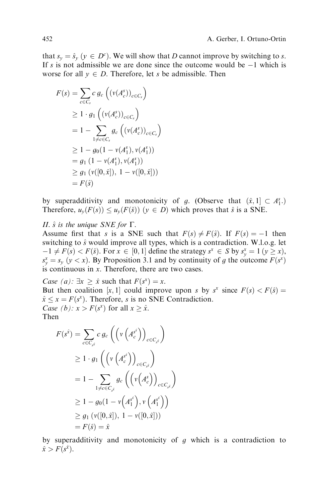that  $s_y = \hat{s}_y$   $(y \in D^c)$ . We will show that D cannot improve by switching to s. If s is not admissible we are done since the outcome would be  $-1$  which is worse for all  $y \in D$ . Therefore, let s be admissible. Then

$$
F(s) = \sum_{c \in C_s} c g_c \left( (v(A_c^s))_{c \in C_s} \right)
$$
  
\n
$$
\geq 1 \cdot g_1 \left( (v(A_c^s))_{c \in C_s} \right)
$$
  
\n
$$
= 1 - \sum_{1 \neq c \in C_s} g_c \left( (v(A_c^s))_{c \in C_s} \right)
$$
  
\n
$$
\geq 1 - g_0 (1 - v(A_1^s), v(A_1^s))
$$
  
\n
$$
= g_1 (1 - v(A_1^s), v(A_1^s))
$$
  
\n
$$
\geq g_1 (v([0, \hat{x}]), 1 - v([0, \hat{x}]))
$$
  
\n
$$
= F(\hat{s})
$$

by superadditivity and monotonicity of g. (Observe that  $(\hat{x}, 1] \subset A_1^s$ .) Therefore,  $u_y(F(s)) \le u_y(F(\hat{s}))$   $(y \in D)$  which proves that  $\hat{s}$  is a SNE.

II.  $\hat{s}$  is the unique SNE for  $\Gamma$ .

Assume first that s is a SNE such that  $F(s) \neq F(\hat{s})$ . If  $F(s) = -1$  then switching to  $\hat{s}$  would improve all types, which is a contradiction. W.l.o.g. let  $-1 \neq F(s) < F(\hat{s})$ . For  $x \in [0, 1]$  define the strategy  $s^x \in S$  by  $s^x_y = 1$   $(y \geq x)$ ,  $s_y^x = s_y$  ( $y < x$ ). By Proposition 3.1 and by continuity of g the outcome  $F(s^x)$ is continuous in  $x$ . Therefore, there are two cases.

Case (a):  $\exists x \geq \hat{x}$  such that  $F(s^x) = x$ .

But then coalition [x, 1] could improve upon s by  $s^x$  since  $F(s) < F(\hat{s}) =$  $\hat{x} \le x = F(s^x)$ . Therefore, s is no SNE Contradiction. Case (b):  $x > F(s^x)$  for all  $x \ge \hat{x}$ .

Then

$$
F(s^{\hat{x}}) = \sum_{c \in C_{s^{\hat{x}}}} c g_c \left( \left( v \left( A_c^{s^{\hat{x}}} \right) \right)_{c \in C_{s^{\hat{x}}}} \right)
$$
  
\n
$$
\geq 1 \cdot g_1 \left( \left( v \left( A_c^{s^{\hat{x}}} \right) \right)_{c \in C_{s^{\hat{x}}}} \right)
$$
  
\n
$$
= 1 - \sum_{1 \neq c \in C_{s^{\hat{x}}}} g_c \left( \left( v \left( A_c^{s} \right) \right)_{c \in C_{s^{\hat{x}}}} \right)
$$
  
\n
$$
\geq 1 - g_0 \left( 1 - v \left( A_1^{s^{\hat{x}}} \right), v \left( A_1^{s^{\hat{x}}} \right) \right)
$$
  
\n
$$
\geq g_1 \left( v([0, \hat{x}]), 1 - v([0, \hat{x}]) \right)
$$
  
\n
$$
= F(\hat{s}) = \hat{x}
$$

by superadditivity and monotonicity of  $g$  which is a contradiction to  $\hat{x} > F(s^{\hat{x}}).$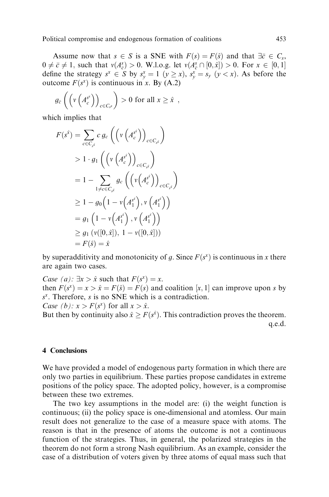Assume now that  $s \in S$  is a SNE with  $F(s) = F(\hat{s})$  and that  $\exists \bar{c} \in C_s$ ,  $0 \neq \overline{c} \neq 1$ , such that  $v(A_{\overline{c}}^s) > 0$ . W.l.o.g. let  $v(A_{\overline{c}}^s \cap [0, \hat{x}]) > 0$ . For  $x \in [0, 1]$ define the strategy  $s^x \in S$  by  $s^x_y = 1$   $(y \ge x)$ ,  $s^x_y = s_y$   $(y < x)$ . As before the outcome  $F(s^x)$  is continuous in x. By (A.2)

$$
g_{\bar{c}}\left(\left(v\left(A_c^{s^*}\right)\right)_{c\in C_{s^*}}\right) > 0 \text{ for all } x \geq \hat{x} ,
$$

which implies that

$$
F(s^{\hat{x}}) = \sum_{c \in C_{s^{\hat{x}}}} c g_c \left( \left( v \left( A_c^{s^{\hat{x}}} \right) \right)_{c \in C_{s^{\hat{x}}}} \right)
$$
  
> 1 \cdot g\_1 \left( \left( v \left( A\_c^{s^{\hat{x}}} \right) \right)\_{c \in C\_{s^{\hat{x}}}} \right)  
= 1 - \sum\_{1 \neq c \in C\_{s^{\hat{x}}}} g\_c \left( \left( v \left( A\_c^{s^{\hat{x}}} \right) \right)\_{c \in C\_{s^{\hat{x}}}} \right)  
\geq 1 - g\_0 \left( 1 - v \left( A\_1^{s^{\hat{x}}} \right), v \left( A\_1^{s^{\hat{x}}} \right) \right)  
= g\_1 \left( 1 - v \left( A\_1^{s^{\hat{x}}} \right), v \left( A\_1^{s^{\hat{x}}} \right) \right)  
\geq g\_1 \left( v([0, \hat{x}]), 1 - v([0, \hat{x}]) \right)  
= F(\hat{s}) = \hat{x}

by superadditivity and monotonicity of g. Since  $F(s^x)$  is continuous in x there are again two cases.

*Case* (*a*):  $\exists x > \hat{x}$  such that  $F(s^x) = x$ . then  $F(s^x) = x > \hat{x} = F(\hat{s}) = F(s)$  and coalition  $[x, 1]$  can improve upon s by  $s^x$ . Therefore, s is no SNE which is a contradiction. Case (b):  $x > F(s^x)$  for all  $x > \hat{x}$ .

But then by continuity also  $\hat{x} \ge F(s^{\hat{x}})$ . This contradiction proves the theorem. q.e.d.

# 4 Conclusions

We have provided a model of endogenous party formation in which there are only two parties in equilibrium. These parties propose candidates in extreme positions of the policy space. The adopted policy, however, is a compromise between these two extremes.

The two key assumptions in the model are: (i) the weight function is continuous; (ii) the policy space is one-dimensional and atomless. Our main result does not generalize to the case of a measure space with atoms. The reason is that in the presence of atoms the outcome is not a continuous function of the strategies. Thus, in general, the polarized strategies in the theorem do not form a strong Nash equilibrium. As an example, consider the case of a distribution of voters given by three atoms of equal mass such that